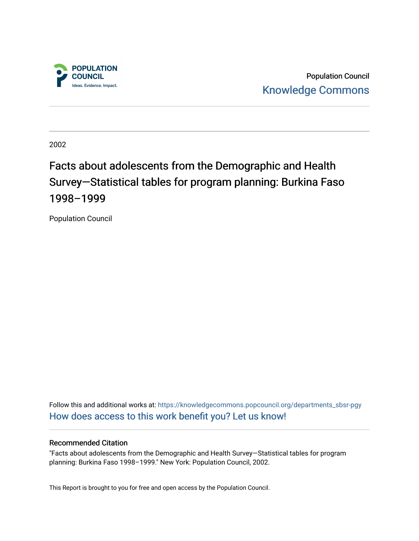

Population Council [Knowledge Commons](https://knowledgecommons.popcouncil.org/) 

2002

# Facts about adolescents from the Demographic and Health Survey-Statistical tables for program planning: Burkina Faso 1998–1999

Population Council

Follow this and additional works at: [https://knowledgecommons.popcouncil.org/departments\\_sbsr-pgy](https://knowledgecommons.popcouncil.org/departments_sbsr-pgy?utm_source=knowledgecommons.popcouncil.org%2Fdepartments_sbsr-pgy%2F1353&utm_medium=PDF&utm_campaign=PDFCoverPages)  [How does access to this work benefit you? Let us know!](https://pcouncil.wufoo.com/forms/open-access-to-population-council-research/)

#### Recommended Citation

"Facts about adolescents from the Demographic and Health Survey—Statistical tables for program planning: Burkina Faso 1998–1999." New York: Population Council, 2002.

This Report is brought to you for free and open access by the Population Council.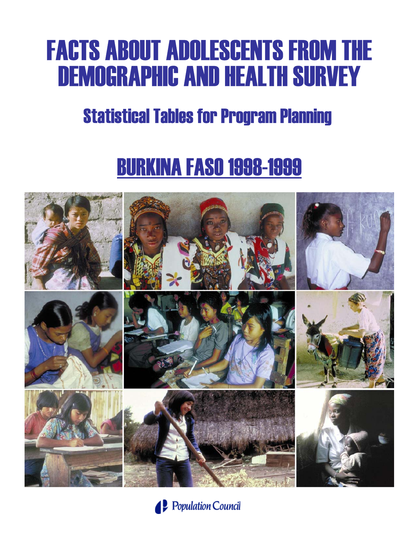# FACTS ABOUT ADOLESCENTS FROM THE DEMOGRAPHIC AND HEALTH SURVEY

# Statistical Tables for Program Planning

# BURKINA FASO 1998-1999



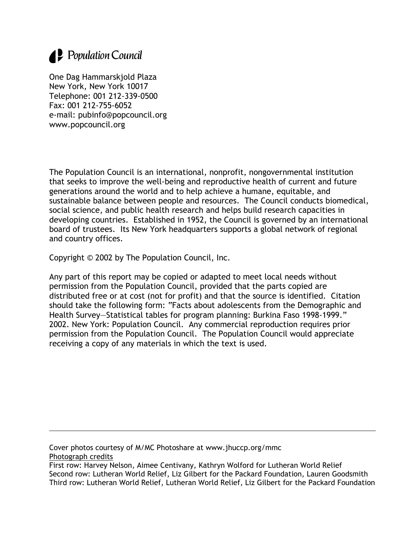# 1. Population Council

One Dag Hammarskjold Plaza New York, New York 10017 Telephone: 001 212-339-0500 Fax: 001 212-755-6052 e-mail: pubinfo@popcouncil.org www.popcouncil.org

The Population Council is an international, nonprofit, nongovernmental institution that seeks to improve the well-being and reproductive health of current and future generations around the world and to help achieve a humane, equitable, and sustainable balance between people and resources. The Council conducts biomedical, social science, and public health research and helps build research capacities in developing countries. Established in 1952, the Council is governed by an international board of trustees. Its New York headquarters supports a global network of regional and country offices.

Copyright © 2002 by The Population Council, Inc.

Any part of this report may be copied or adapted to meet local needs without permission from the Population Council, provided that the parts copied are distributed free or at cost (not for profit) and that the source is identified. Citation should take the following form: "Facts about adolescents from the Demographic and Health Survey—Statistical tables for program planning: Burkina Faso 1998-1999." 2002. New York: Population Council. Any commercial reproduction requires prior permission from the Population Council. The Population Council would appreciate receiving a copy of any materials in which the text is used.

Cover photos courtesy of M/MC Photoshare at www.jhuccp.org/mmc

Photograph credits

First row: Harvey Nelson, Aimee Centivany, Kathryn Wolford for Lutheran World Relief Second row: Lutheran World Relief, Liz Gilbert for the Packard Foundation, Lauren Goodsmith Third row: Lutheran World Relief, Lutheran World Relief, Liz Gilbert for the Packard Foundation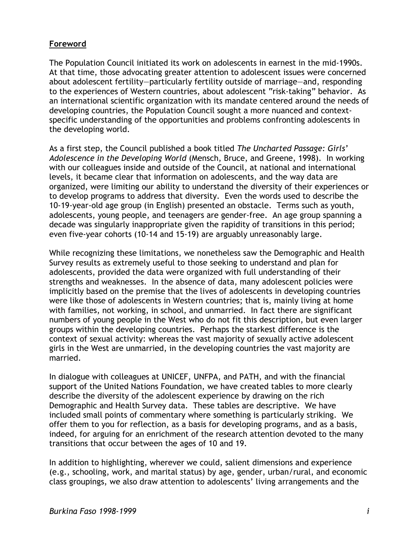# **Foreword**

The Population Council initiated its work on adolescents in earnest in the mid-1990s. At that time, those advocating greater attention to adolescent issues were concerned about adolescent fertility—particularly fertility outside of marriage—and, responding to the experiences of Western countries, about adolescent "risk-taking" behavior. As an international scientific organization with its mandate centered around the needs of developing countries, the Population Council sought a more nuanced and contextspecific understanding of the opportunities and problems confronting adolescents in the developing world.

As a first step, the Council published a book titled *The Uncharted Passage: Girls' Adolescence in the Developing World* (Mensch, Bruce, and Greene, 1998). In working with our colleagues inside and outside of the Council, at national and international levels, it became clear that information on adolescents, and the way data are organized, were limiting our ability to understand the diversity of their experiences or to develop programs to address that diversity. Even the words used to describe the 10-19-year-old age group (in English) presented an obstacle. Terms such as youth, adolescents, young people, and teenagers are gender-free. An age group spanning a decade was singularly inappropriate given the rapidity of transitions in this period; even five-year cohorts (10-14 and 15-19) are arguably unreasonably large.

While recognizing these limitations, we nonetheless saw the Demographic and Health Survey results as extremely useful to those seeking to understand and plan for adolescents, provided the data were organized with full understanding of their strengths and weaknesses. In the absence of data, many adolescent policies were implicitly based on the premise that the lives of adolescents in developing countries were like those of adolescents in Western countries; that is, mainly living at home with families, not working, in school, and unmarried. In fact there are significant numbers of young people in the West who do not fit this description, but even larger groups within the developing countries. Perhaps the starkest difference is the context of sexual activity: whereas the vast majority of sexually active adolescent girls in the West are unmarried, in the developing countries the vast majority are married.

In dialogue with colleagues at UNICEF, UNFPA, and PATH, and with the financial support of the United Nations Foundation, we have created tables to more clearly describe the diversity of the adolescent experience by drawing on the rich Demographic and Health Survey data. These tables are descriptive. We have included small points of commentary where something is particularly striking. We offer them to you for reflection, as a basis for developing programs, and as a basis, indeed, for arguing for an enrichment of the research attention devoted to the many transitions that occur between the ages of 10 and 19.

In addition to highlighting, wherever we could, salient dimensions and experience (e.g., schooling, work, and marital status) by age, gender, urban/rural, and economic class groupings, we also draw attention to adolescents' living arrangements and the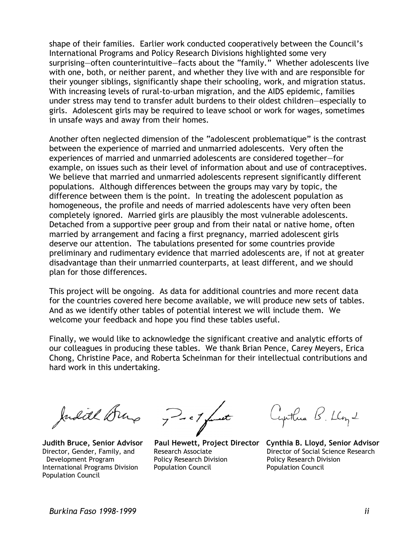shape of their families. Earlier work conducted cooperatively between the Council's International Programs and Policy Research Divisions highlighted some very surprising—often counterintuitive—facts about the "family." Whether adolescents live with one, both, or neither parent, and whether they live with and are responsible for their younger siblings, significantly shape their schooling, work, and migration status. With increasing levels of rural-to-urban migration, and the AIDS epidemic, families under stress may tend to transfer adult burdens to their oldest children—especially to girls. Adolescent girls may be required to leave school or work for wages, sometimes in unsafe ways and away from their homes.

Another often neglected dimension of the "adolescent problematique" is the contrast between the experience of married and unmarried adolescents. Very often the experiences of married and unmarried adolescents are considered together—for example, on issues such as their level of information about and use of contraceptives. We believe that married and unmarried adolescents represent significantly different populations. Although differences between the groups may vary by topic, the difference between them is the point. In treating the adolescent population as homogeneous, the profile and needs of married adolescents have very often been completely ignored. Married girls are plausibly the most vulnerable adolescents. Detached from a supportive peer group and from their natal or native home, often married by arrangement and facing a first pregnancy, married adolescent girls deserve our attention. The tabulations presented for some countries provide preliminary and rudimentary evidence that married adolescents are, if not at greater disadvantage than their unmarried counterparts, at least different, and we should plan for those differences.

This project will be ongoing. As data for additional countries and more recent data for the countries covered here become available, we will produce new sets of tables. And as we identify other tables of potential interest we will include them. We welcome your feedback and hope you find these tables useful.

Finally, we would like to acknowledge the significant creative and analytic efforts of our colleagues in producing these tables. We thank Brian Pence, Carey Meyers, Erica Chong, Christine Pace, and Roberta Scheinman for their intellectual contributions and hard work in this undertaking.

Judith Dung

International Programs Division Population Council Population Council Population Council

7 - c / funct

Development Program Policy Research Division Policy Research Division

Cynthia B. Lloyd

**Judith Bruce, Senior Advisor Paul Hewett, Project Director Cynthia B. Lloyd, Senior Advisor**  Director, Gender, Family, and Research Associate Director of Social Science Research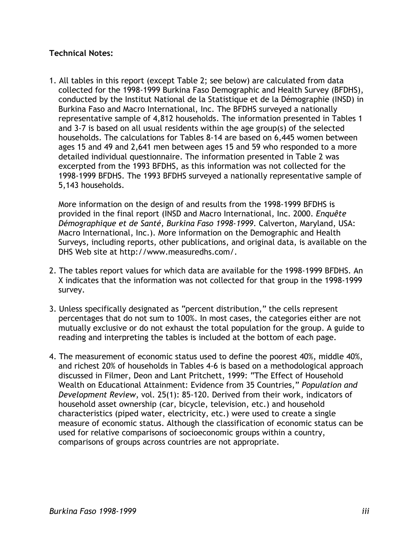# **Technical Notes:**

1. All tables in this report (except Table 2; see below) are calculated from data collected for the 1998-1999 Burkina Faso Demographic and Health Survey (BFDHS), conducted by the Institut National de la Statistique et de la Démographie (INSD) in Burkina Faso and Macro International, Inc. The BFDHS surveyed a nationally representative sample of 4,812 households. The information presented in Tables 1 and 3-7 is based on all usual residents within the age group(s) of the selected households. The calculations for Tables 8-14 are based on 6,445 women between ages 15 and 49 and 2,641 men between ages 15 and 59 who responded to a more detailed individual questionnaire. The information presented in Table 2 was excerpted from the 1993 BFDHS, as this information was not collected for the 1998-1999 BFDHS. The 1993 BFDHS surveyed a nationally representative sample of 5,143 households.

More information on the design of and results from the 1998-1999 BFDHS is provided in the final report (INSD and Macro International, Inc. 2000. *Enquête Démographique et de Santé, Burkina Faso 1998-1999*. Calverton, Maryland, USA: Macro International, Inc.). More information on the Demographic and Health Surveys, including reports, other publications, and original data, is available on the DHS Web site at http://www.measuredhs.com/.

- 2. The tables report values for which data are available for the 1998-1999 BFDHS. An X indicates that the information was not collected for that group in the 1998-1999 survey.
- 3. Unless specifically designated as "percent distribution," the cells represent percentages that do not sum to 100%. In most cases, the categories either are not mutually exclusive or do not exhaust the total population for the group. A guide to reading and interpreting the tables is included at the bottom of each page.
- 4. The measurement of economic status used to define the poorest 40%, middle 40%, and richest 20% of households in Tables 4-6 is based on a methodological approach discussed in Filmer, Deon and Lant Pritchett, 1999: "The Effect of Household Wealth on Educational Attainment: Evidence from 35 Countries," *Population and Development Review*, vol. 25(1): 85-120. Derived from their work, indicators of household asset ownership (car, bicycle, television, etc.) and household characteristics (piped water, electricity, etc.) were used to create a single measure of economic status. Although the classification of economic status can be used for relative comparisons of socioeconomic groups within a country, comparisons of groups across countries are not appropriate.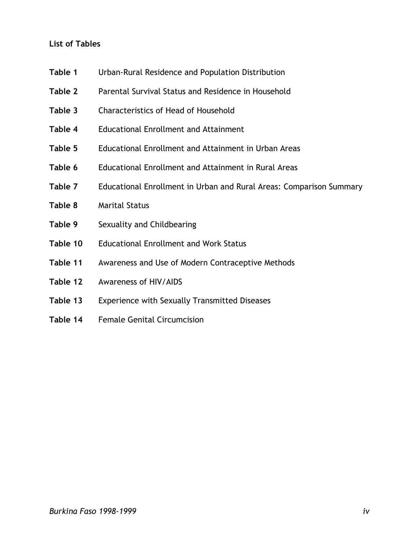# **List of Tables**

- **Table 1** Urban-Rural Residence and Population Distribution
- **Table 2** Parental Survival Status and Residence in Household
- **Table 3** Characteristics of Head of Household
- **Table 4** Educational Enrollment and Attainment
- **Table 5** Educational Enrollment and Attainment in Urban Areas
- **Table 6** Educational Enrollment and Attainment in Rural Areas
- **Table 7** Educational Enrollment in Urban and Rural Areas: Comparison Summary
- **Table 8** Marital Status
- **Table 9** Sexuality and Childbearing
- **Table 10** Educational Enrollment and Work Status
- **Table 11** Awareness and Use of Modern Contraceptive Methods
- **Table 12** Awareness of HIV/AIDS
- **Table 13** Experience with Sexually Transmitted Diseases
- **Table 14** Female Genital Circumcision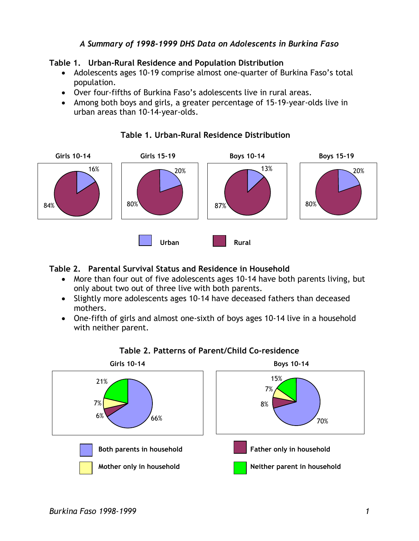# *A Summary of 1998-1999 DHS Data on Adolescents in Burkina Faso*

# **Table 1. Urban-Rural Residence and Population Distribution**

- Adolescents ages 10-19 comprise almost one-quarter of Burkina Faso's total population.
- Over four-fifths of Burkina Faso's adolescents live in rural areas.
- Among both boys and girls, a greater percentage of 15-19-year-olds live in urban areas than 10-14-year-olds.



# **Table 1. Urban-Rural Residence Distribution**

# **Table 2. Parental Survival Status and Residence in Household**

- More than four out of five adolescents ages 10-14 have both parents living, but only about two out of three live with both parents.
- Slightly more adolescents ages 10-14 have deceased fathers than deceased mothers.
- One-fifth of girls and almost one-sixth of boys ages 10-14 live in a household with neither parent.



# **Table 2. Patterns of Parent/Child Co-residence**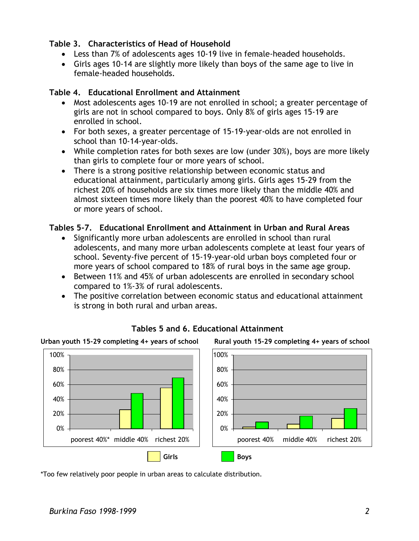# **Table 3. Characteristics of Head of Household**

- Less than 7% of adolescents ages 10-19 live in female-headed households.
- Girls ages 10-14 are slightly more likely than boys of the same age to live in female-headed households.

### **Table 4. Educational Enrollment and Attainment**

- Most adolescents ages 10-19 are not enrolled in school; a greater percentage of girls are not in school compared to boys. Only 8% of girls ages 15-19 are enrolled in school.
- For both sexes, a greater percentage of 15-19-year-olds are not enrolled in school than 10-14-year-olds.
- While completion rates for both sexes are low (under 30%), boys are more likely than girls to complete four or more years of school.
- There is a strong positive relationship between economic status and educational attainment, particularly among girls. Girls ages 15-29 from the richest 20% of households are six times more likely than the middle 40% and almost sixteen times more likely than the poorest 40% to have completed four or more years of school.

# **Tables 5-7. Educational Enrollment and Attainment in Urban and Rural Areas**

- Significantly more urban adolescents are enrolled in school than rural adolescents, and many more urban adolescents complete at least four years of school. Seventy-five percent of 15-19-year-old urban boys completed four or more years of school compared to 18% of rural boys in the same age group.
- Between 11% and 45% of urban adolescents are enrolled in secondary school compared to 1%-3% of rural adolescents.
- The positive correlation between economic status and educational attainment is strong in both rural and urban areas.



# **Tables 5 and 6. Educational Attainment**

\*Too few relatively poor people in urban areas to calculate distribution.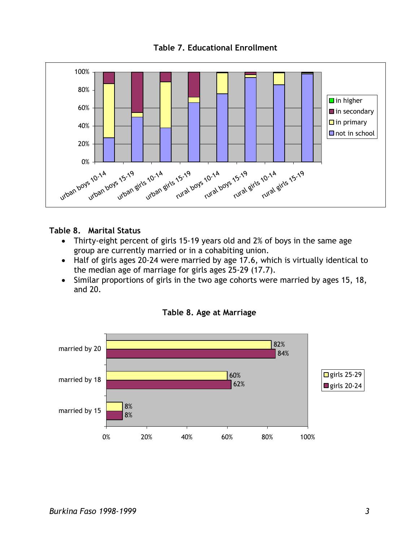



### **Table 8. Marital Status**

- Thirty-eight percent of girls 15-19 years old and 2% of boys in the same age group are currently married or in a cohabiting union.
- Half of girls ages 20-24 were married by age 17.6, which is virtually identical to the median age of marriage for girls ages 25-29 (17.7).
- Similar proportions of girls in the two age cohorts were married by ages 15, 18, and 20.



#### **Table 8. Age at Marriage**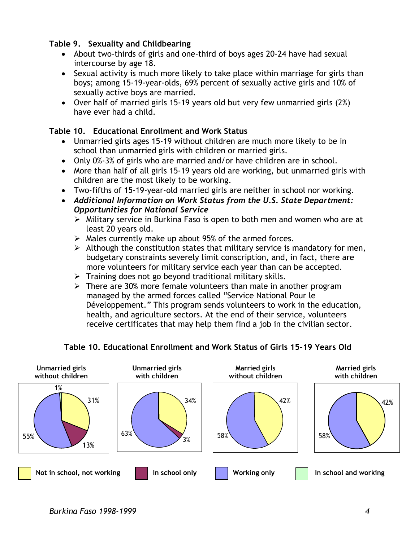# **Table 9. Sexuality and Childbearing**

- About two-thirds of girls and one-third of boys ages 20-24 have had sexual intercourse by age 18.
- Sexual activity is much more likely to take place within marriage for girls than boys; among 15-19-year-olds, 69% percent of sexually active girls and 10% of sexually active boys are married.
- Over half of married girls 15-19 years old but very few unmarried girls (2%) have ever had a child.

# **Table 10. Educational Enrollment and Work Status**

- Unmarried girls ages 15-19 without children are much more likely to be in school than unmarried girls with children or married girls.
- Only 0%-3% of girls who are married and/or have children are in school.
- More than half of all girls 15-19 years old are working, but unmarried girls with children are the most likely to be working.
- Two-fifths of 15-19-year-old married girls are neither in school nor working.
- *Additional Information on Work Status from the U.S. State Department: Opportunities for National Service* 
	- $\triangleright$  Military service in Burkina Faso is open to both men and women who are at least 20 years old.
	- $\triangleright$  Males currently make up about 95% of the armed forces.
	- $\triangleright$  Although the constitution states that military service is mandatory for men, budgetary constraints severely limit conscription, and, in fact, there are more volunteers for military service each year than can be accepted.
	- $\triangleright$  Training does not go beyond traditional military skills.
	- $\triangleright$  There are 30% more female volunteers than male in another program managed by the armed forces called "Service National Pour le Développement." This program sends volunteers to work in the education, health, and agriculture sectors. At the end of their service, volunteers receive certificates that may help them find a job in the civilian sector.



# **Table 10. Educational Enrollment and Work Status of Girls 15-19 Years Old**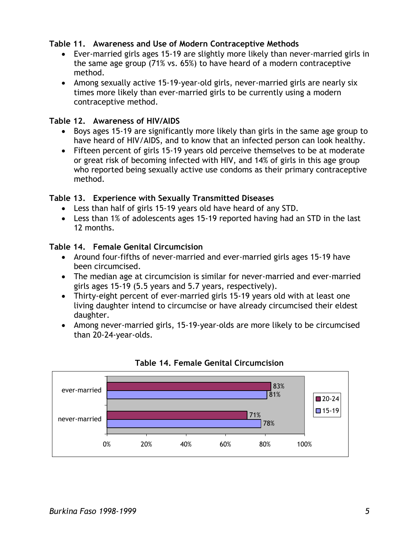# **Table 11. Awareness and Use of Modern Contraceptive Methods**

- Ever-married girls ages 15-19 are slightly more likely than never-married girls in the same age group (71% vs. 65%) to have heard of a modern contraceptive method.
- Among sexually active 15-19-year-old girls, never-married girls are nearly six times more likely than ever-married girls to be currently using a modern contraceptive method.

# **Table 12. Awareness of HIV/AIDS**

- Boys ages 15-19 are significantly more likely than girls in the same age group to have heard of HIV/AIDS, and to know that an infected person can look healthy.
- Fifteen percent of girls 15-19 years old perceive themselves to be at moderate or great risk of becoming infected with HIV, and 14% of girls in this age group who reported being sexually active use condoms as their primary contraceptive method.

# **Table 13. Experience with Sexually Transmitted Diseases**

- Less than half of girls 15-19 years old have heard of any STD.
- Less than 1% of adolescents ages 15-19 reported having had an STD in the last 12 months.

# **Table 14. Female Genital Circumcision**

- Around four-fifths of never-married and ever-married girls ages 15-19 have been circumcised.
- The median age at circumcision is similar for never-married and ever-married girls ages 15-19 (5.5 years and 5.7 years, respectively).
- Thirty-eight percent of ever-married girls 15-19 years old with at least one living daughter intend to circumcise or have already circumcised their eldest daughter.
- Among never-married girls, 15-19-year-olds are more likely to be circumcised than 20-24-year-olds.



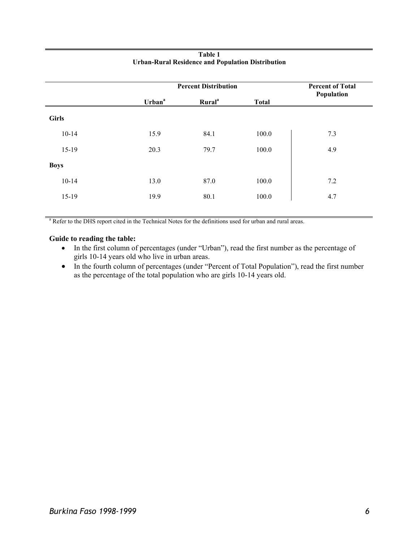| <b>Percent Distribution</b> |                    |              | <b>Percent of Total</b><br>Population |  |
|-----------------------------|--------------------|--------------|---------------------------------------|--|
| Urban <sup>a</sup>          | Rural <sup>a</sup> | <b>Total</b> |                                       |  |
|                             |                    |              |                                       |  |
| 15.9                        | 84.1               | 100.0        | 7.3                                   |  |
| 20.3                        | 79.7               | 100.0        | 4.9                                   |  |
|                             |                    |              |                                       |  |
| 13.0                        | 87.0               | 100.0        | 7.2                                   |  |
| 19.9                        | 80.1               | 100.0        | 4.7                                   |  |
|                             |                    |              |                                       |  |

#### **Table 1 Urban-Rural Residence and Population Distribution**

<sup>a</sup> Refer to the DHS report cited in the Technical Notes for the definitions used for urban and rural areas.

- In the first column of percentages (under "Urban"), read the first number as the percentage of girls 10-14 years old who live in urban areas.
- In the fourth column of percentages (under "Percent of Total Population"), read the first number as the percentage of the total population who are girls 10-14 years old.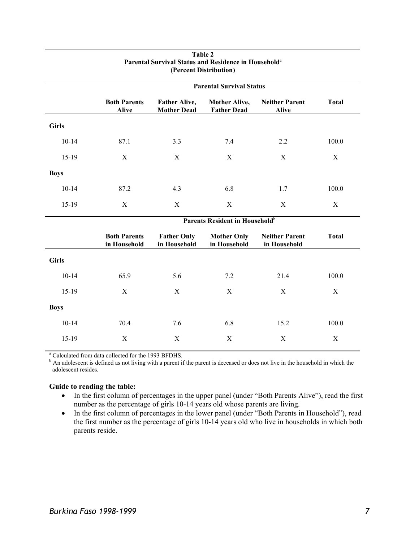|              | <b>Parental Survival Status</b>     |                                            |                                            |                                       |              |  |  |
|--------------|-------------------------------------|--------------------------------------------|--------------------------------------------|---------------------------------------|--------------|--|--|
|              | <b>Both Parents</b><br><b>Alive</b> | <b>Father Alive,</b><br><b>Mother Dead</b> | <b>Mother Alive,</b><br><b>Father Dead</b> | <b>Neither Parent</b><br><b>Alive</b> | <b>Total</b> |  |  |
| <b>Girls</b> |                                     |                                            |                                            |                                       |              |  |  |
| $10-14$      | 87.1                                | 3.3                                        | 7.4                                        | 2.2                                   | 100.0        |  |  |
| $15-19$      | X                                   | X                                          | X                                          | X                                     | X            |  |  |
| <b>Boys</b>  |                                     |                                            |                                            |                                       |              |  |  |
| $10-14$      | 87.2                                | 4.3                                        | 6.8                                        | 1.7                                   | 100.0        |  |  |
| $15-19$      | X                                   | X                                          | X                                          | X                                     | X            |  |  |

#### **Table 2 Parental Survival Status and Residence in Household**<sup>a</sup> **(Percent Distribution)**

|              | Parents Resident in Household <sup>b</sup> |                                    |                                    |                                       |              |  |
|--------------|--------------------------------------------|------------------------------------|------------------------------------|---------------------------------------|--------------|--|
|              | <b>Both Parents</b><br>in Household        | <b>Father Only</b><br>in Household | <b>Mother Only</b><br>in Household | <b>Neither Parent</b><br>in Household | <b>Total</b> |  |
| <b>Girls</b> |                                            |                                    |                                    |                                       |              |  |
| $10-14$      | 65.9                                       | 5.6                                | 7.2                                | 21.4                                  | 100.0        |  |
| $15-19$      | X                                          | X                                  | X                                  | X                                     | X            |  |
| <b>Boys</b>  |                                            |                                    |                                    |                                       |              |  |
| $10 - 14$    | 70.4                                       | 7.6                                | 6.8                                | 15.2                                  | 100.0        |  |
| $15-19$      | X                                          | X                                  | X                                  | X                                     | X            |  |

<sup>a</sup> Calculated from data collected for the 1993 BFDHS.

<sup>b</sup> An adolescent is defined as not living with a parent if the parent is deceased or does not live in the household in which the adolescent resides.

- In the first column of percentages in the upper panel (under "Both Parents Alive"), read the first number as the percentage of girls 10-14 years old whose parents are living.
- In the first column of percentages in the lower panel (under "Both Parents in Household"), read the first number as the percentage of girls 10-14 years old who live in households in which both parents reside.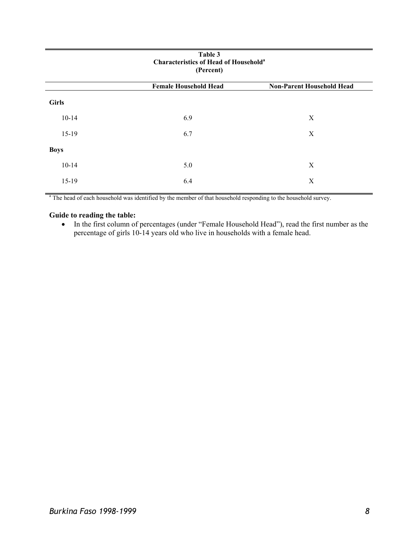| Table 3<br><b>Characteristics of Head of Household<sup>a</sup></b><br>(Percent) |                              |                                  |  |  |  |  |
|---------------------------------------------------------------------------------|------------------------------|----------------------------------|--|--|--|--|
|                                                                                 | <b>Female Household Head</b> | <b>Non-Parent Household Head</b> |  |  |  |  |
| <b>Girls</b>                                                                    |                              |                                  |  |  |  |  |
| $10 - 14$                                                                       | 6.9                          | X                                |  |  |  |  |
| $15-19$                                                                         | 6.7                          | X                                |  |  |  |  |
| <b>Boys</b>                                                                     |                              |                                  |  |  |  |  |
| $10 - 14$                                                                       | 5.0                          | X                                |  |  |  |  |
| $15-19$                                                                         | 6.4                          | X                                |  |  |  |  |

<sup>a</sup> The head of each household was identified by the member of that household responding to the household survey.

#### **Guide to reading the table:**

• In the first column of percentages (under "Female Household Head"), read the first number as the percentage of girls 10-14 years old who live in households with a female head.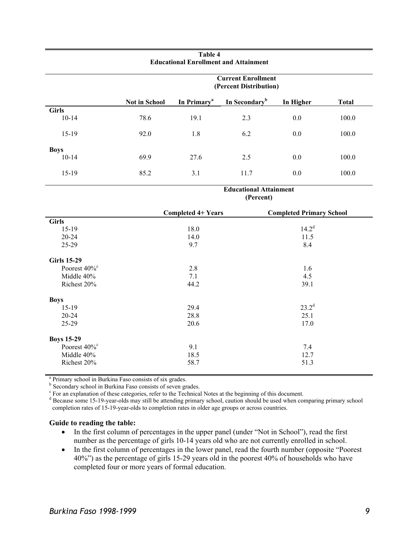|              | <b>Current Enrollment</b><br>(Percent Distribution) |                         |                           |           |              |  |
|--------------|-----------------------------------------------------|-------------------------|---------------------------|-----------|--------------|--|
|              | <b>Not in School</b>                                | In Primary <sup>a</sup> | In Secondary <sup>b</sup> | In Higher | <b>Total</b> |  |
| <b>Girls</b> |                                                     |                         |                           |           |              |  |
| $10-14$      | 78.6                                                | 19.1                    | 2.3                       | 0.0       | 100.0        |  |
| $15-19$      | 92.0                                                | 1.8                     | 6.2                       | 0.0       | 100.0        |  |
| <b>Boys</b>  |                                                     |                         |                           |           |              |  |
| $10-14$      | 69.9                                                | 27.6                    | 2.5                       | 0.0       | 100.0        |  |
| $15-19$      | 85.2                                                | 3.1                     | 11.7                      | 0.0       | 100.0        |  |

#### **Table 4 Educational Enrollment and Attainment**

**Educational Attainment (Percent)** 

|                             | <b>Completed 4+ Years</b> | <b>Completed Primary School</b> |
|-----------------------------|---------------------------|---------------------------------|
| <b>Girls</b>                |                           |                                 |
| $15-19$                     | 18.0                      | $14.2^{d}$                      |
| $20 - 24$                   | 14.0                      | 11.5                            |
| 25-29                       | 9.7                       | 8.4                             |
| <b>Girls 15-29</b>          |                           |                                 |
| Poorest $40\%$ <sup>c</sup> | 2.8                       | 1.6                             |
| Middle 40%                  | 7.1                       | 4.5                             |
| Richest 20%                 | 44.2                      | 39.1                            |
| <b>Boys</b>                 |                           |                                 |
| $15-19$                     | 29.4                      | $23.2^d$                        |
| $20 - 24$                   | 28.8                      | 25.1                            |
| 25-29                       | 20.6                      | 17.0                            |
| <b>Boys 15-29</b>           |                           |                                 |
| Poorest $40\%$ <sup>c</sup> | 9.1                       | 7.4                             |
| Middle 40%                  | 18.5                      | 12.7                            |
| Richest 20%                 | 58.7                      | 51.3                            |

<sup>a</sup> Primary school in Burkina Faso consists of six grades.

<sup>b</sup> Secondary school in Burkina Faso consists of seven grades.

 $c<sup>c</sup>$  For an explanation of these categories, refer to the Technical Notes at the beginning of this document.

Because some 15-19-year-olds may still be attending primary school, caution should be used when comparing primary school completion rates of 15-19-year-olds to completion rates in older age groups or across countries.

- In the first column of percentages in the upper panel (under "Not in School"), read the first number as the percentage of girls 10-14 years old who are not currently enrolled in school.
- In the first column of percentages in the lower panel, read the fourth number (opposite "Poorest" 40%") as the percentage of girls 15-29 years old in the poorest 40% of households who have completed four or more years of formal education.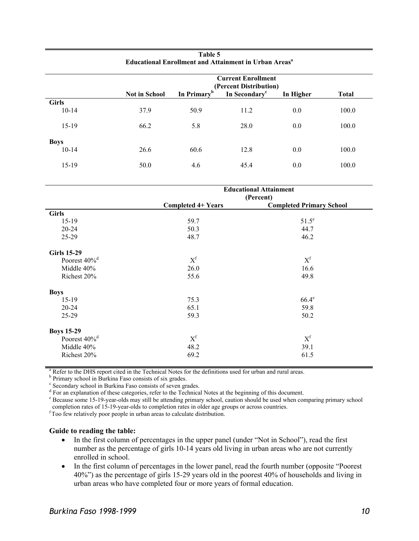|              | <b>Current Enrollment</b> |                         |                                                     |           |              |  |
|--------------|---------------------------|-------------------------|-----------------------------------------------------|-----------|--------------|--|
|              | <b>Not in School</b>      | In Primary <sup>b</sup> | (Percent Distribution)<br>In Secondary <sup>c</sup> | In Higher | <b>Total</b> |  |
| <b>Girls</b> |                           |                         |                                                     |           |              |  |
| $10-14$      | 37.9                      | 50.9                    | 11.2                                                | 0.0       | 100.0        |  |
|              |                           |                         |                                                     |           |              |  |
| $15-19$      | 66.2                      | 5.8                     | 28.0                                                | 0.0       | 100.0        |  |
| <b>Boys</b>  |                           |                         |                                                     |           |              |  |
| $10-14$      | 26.6                      | 60.6                    | 12.8                                                | 0.0       | 100.0        |  |
|              |                           |                         |                                                     |           |              |  |
| 15-19        | 50.0                      | 4.6                     | 45.4                                                | 0.0       | 100.0        |  |

| Table 5                                                                  |
|--------------------------------------------------------------------------|
| <b>Educational Enrollment and Attainment in Urban Areas</b> <sup>a</sup> |

|                             | <b>Educational Attainment</b><br>(Percent) |                                 |  |  |
|-----------------------------|--------------------------------------------|---------------------------------|--|--|
|                             | <b>Completed 4+ Years</b>                  | <b>Completed Primary School</b> |  |  |
| <b>Girls</b>                |                                            |                                 |  |  |
| $15-19$                     | 59.7                                       | $51.5^e$                        |  |  |
| $20 - 24$                   | 50.3                                       | 44.7                            |  |  |
| 25-29                       | 48.7                                       | 46.2                            |  |  |
| <b>Girls 15-29</b>          |                                            |                                 |  |  |
| Poorest 40% <sup>d</sup>    | $\mathbf{X}^\text{f}$                      | $X^f$                           |  |  |
| Middle 40%                  | 26.0                                       | 16.6                            |  |  |
| Richest 20%                 | 55.6                                       | 49.8                            |  |  |
| <b>Boys</b>                 |                                            |                                 |  |  |
| $15-19$                     | 75.3                                       | $66.4^e$                        |  |  |
| $20 - 24$                   | 65.1                                       | 59.8                            |  |  |
| 25-29                       | 59.3                                       | 50.2                            |  |  |
| <b>Boys 15-29</b>           |                                            |                                 |  |  |
| Poorest $40\%$ <sup>d</sup> | $X^f$                                      | $X^f$                           |  |  |
| Middle 40%                  | 48.2                                       | 39.1                            |  |  |
| Richest 20%                 | 69.2                                       | 61.5                            |  |  |

<sup>a</sup> Refer to the DHS report cited in the Technical Notes for the definitions used for urban and rural areas.

<sup>b</sup> Primary school in Burkina Faso consists of six grades.<br><sup>c</sup> Secondary school in Burkina Faso consists of seven grades.

 $\frac{1}{3}$  Secondary school in Burkina Faso consists of seven grades.

 $^{\circ}$  For an explanation of these categories, refer to the Technical Notes at the beginning of this document.<br> $^{\circ}$  Peagues some 15, 10 year, alds may still be attending primary school, equition should be used when earl

<sup>e</sup> Because some 15-19-year-olds may still be attending primary school, caution should be used when comparing primary school completion rates of 15-19-year-olds to completion rates in older age groups or across countries.

Too few relatively poor people in urban areas to calculate distribution.

- In the first column of percentages in the upper panel (under "Not in School"), read the first number as the percentage of girls 10-14 years old living in urban areas who are not currently enrolled in school.
- In the first column of percentages in the lower panel, read the fourth number (opposite "Poorest" 40%") as the percentage of girls 15-29 years old in the poorest 40% of households and living in urban areas who have completed four or more years of formal education.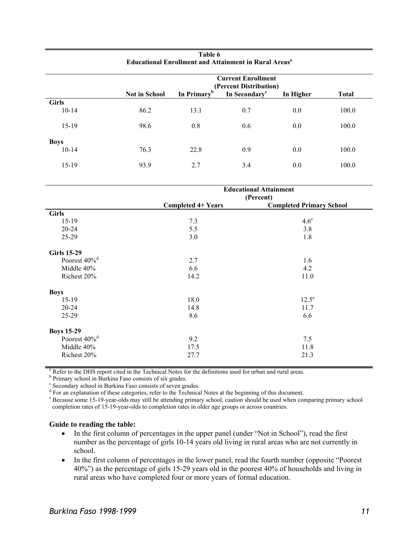|                        | <b>Current Enrollment</b><br>(Percent Distribution)<br>In Secondary <sup>c</sup> |                         |     |           |              |  |
|------------------------|----------------------------------------------------------------------------------|-------------------------|-----|-----------|--------------|--|
|                        | <b>Not in School</b>                                                             | In Primary <sup>b</sup> |     | In Higher | <b>Total</b> |  |
| <b>Girls</b>           |                                                                                  |                         |     |           |              |  |
| $10-14$                | 86.2                                                                             | 13.1                    | 0.7 | 0.0       | 100.0        |  |
| $15-19$                | 98.6                                                                             | 0.8                     | 0.6 | 0.0       | 100.0        |  |
|                        |                                                                                  |                         |     |           |              |  |
| <b>Boys</b><br>$10-14$ | 76.3                                                                             | 22.8                    | 0.9 | 0.0       | 100.0        |  |
|                        |                                                                                  |                         |     |           |              |  |
| $15-19$                | 93.9                                                                             | 2.7                     | 3.4 | 0.0       | 100.0        |  |

**Table 6 Educational Enrollment and Attainment in Rural Areas<sup>a</sup>** 

|                             | <b>Educational Attainment</b><br>(Percent) |                                 |  |  |
|-----------------------------|--------------------------------------------|---------------------------------|--|--|
|                             | Completed 4+ Years                         | <b>Completed Primary School</b> |  |  |
| <b>Girls</b>                |                                            |                                 |  |  |
| $15-19$                     | 7.3                                        | $4.6^\mathrm{e}$                |  |  |
| 20-24                       | 5.5                                        | 3.8                             |  |  |
| 25-29                       | 3.0                                        | 1.8                             |  |  |
| <b>Girls 15-29</b>          |                                            |                                 |  |  |
| Poorest $40\%$ <sup>d</sup> | 2.7                                        | 1.6                             |  |  |
| Middle 40%                  | 6.6                                        | 4.2                             |  |  |
| Richest 20%                 | 14.2                                       | 11.0                            |  |  |
| <b>Boys</b>                 |                                            |                                 |  |  |
| $15-19$                     | 18.0                                       | $12.5^e$                        |  |  |
| 20-24                       | 14.8                                       | 11.7                            |  |  |
| $25-29$                     | 8.6                                        | 6.6                             |  |  |
| <b>Boys 15-29</b>           |                                            |                                 |  |  |
| Poorest 40% <sup>d</sup>    | 9.2                                        | 7.5                             |  |  |
| Middle 40%                  | 17.5                                       | 11.8                            |  |  |
| Richest 20%                 | 27.7                                       | 21.3                            |  |  |

<sup>a</sup> Refer to the DHS report cited in the Technical Notes for the definitions used for urban and rural areas.

<sup>b</sup> Primary school in Burkina Faso consists of six grades.<br><sup>c</sup> Secondary school in Burkina Faso consists of seven grades.  $\frac{1}{3}$  Secondary school in Burkina Faso consists of seven grades.

 $^{\circ}$  For an explanation of these categories, refer to the Technical Notes at the beginning of this document.<br> $^{\circ}$  Peagues some 15, 10 year, alds may still be attending primary school, equition should be used when earl

<sup>e</sup> Because some 15-19-year-olds may still be attending primary school, caution should be used when comparing primary school completion rates of 15-19-year-olds to completion rates in older age groups or across countries.

- In the first column of percentages in the upper panel (under "Not in School"), read the first number as the percentage of girls 10-14 years old living in rural areas who are not currently in school.
- In the first column of percentages in the lower panel, read the fourth number (opposite "Poorest 40%") as the percentage of girls 15-29 years old in the poorest 40% of households and living in rural areas who have completed four or more years of formal education.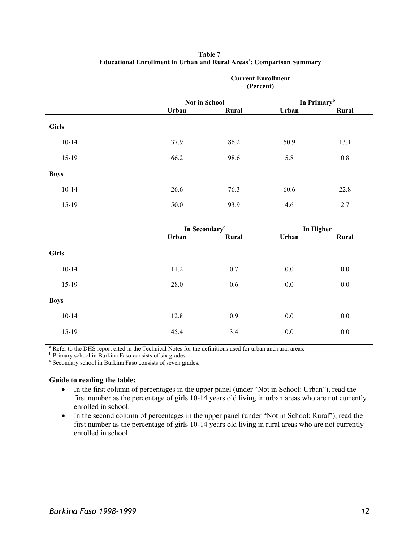|              | <b>Current Enrollment</b><br>(Percent) |               |           |                         |  |  |
|--------------|----------------------------------------|---------------|-----------|-------------------------|--|--|
|              |                                        | Not in School |           | In Primary <sup>b</sup> |  |  |
|              | Urban                                  | Rural         | Urban     | Rural                   |  |  |
| <b>Girls</b> |                                        |               |           |                         |  |  |
| $10 - 14$    | 37.9                                   | 86.2          | 50.9      | 13.1                    |  |  |
| $15-19$      | 66.2                                   | 98.6          | 5.8       | $0.8\,$                 |  |  |
| <b>Boys</b>  |                                        |               |           |                         |  |  |
| $10 - 14$    | 26.6                                   | 76.3          | 60.6      | 22.8                    |  |  |
| $15-19$      | 50.0                                   | 93.9          | 4.6       | 2.7                     |  |  |
|              | In Secondary <sup>c</sup>              |               | In Higher |                         |  |  |
|              | Urban                                  | Rural         | Urban     | Rural                   |  |  |
| <b>Girls</b> |                                        |               |           |                         |  |  |
| $10 - 14$    | 11.2                                   | 0.7           | $0.0\,$   | $0.0\,$                 |  |  |
| 15-19        | 28.0                                   | $0.6\,$       | $0.0\,$   | $0.0\,$                 |  |  |
| <b>Boys</b>  |                                        |               |           |                         |  |  |
| $10 - 14$    | 12.8                                   | 0.9           | $0.0\,$   | $0.0\,$                 |  |  |
| 15-19        | 45.4                                   | 3.4           | $0.0\,$   | $0.0\,$                 |  |  |

#### **Table 7 Educational Enrollment in Urban and Rural Areas<sup>a</sup> : Comparison Summary**

<sup>a</sup> Refer to the DHS report cited in the Technical Notes for the definitions used for urban and rural areas.

<sup>b</sup> Primary school in Burkina Faso consists of six grades.

<sup>c</sup> Secondary school in Burkina Faso consists of seven grades.

- In the first column of percentages in the upper panel (under "Not in School: Urban"), read the first number as the percentage of girls 10-14 years old living in urban areas who are not currently enrolled in school.
- In the second column of percentages in the upper panel (under "Not in School: Rural"), read the first number as the percentage of girls 10-14 years old living in rural areas who are not currently enrolled in school.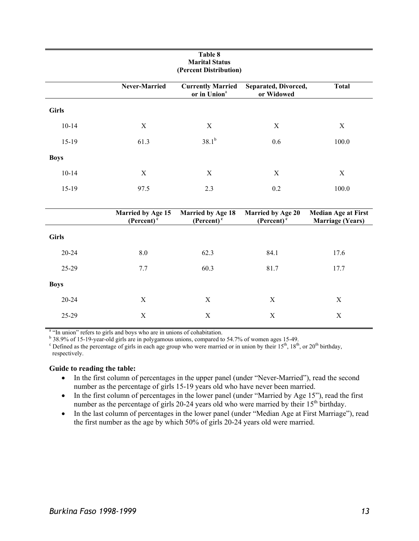| Table 8<br><b>Marital Status</b><br>(Percent Distribution) |                                                   |                                                      |                                            |                                                       |  |
|------------------------------------------------------------|---------------------------------------------------|------------------------------------------------------|--------------------------------------------|-------------------------------------------------------|--|
|                                                            | Never-Married                                     | <b>Currently Married</b><br>or in Union <sup>a</sup> | Separated, Divorced,<br>or Widowed         | <b>Total</b>                                          |  |
| <b>Girls</b>                                               |                                                   |                                                      |                                            |                                                       |  |
| $10 - 14$                                                  | $\mathbf X$                                       | $\mathbf X$                                          | $\mathbf X$                                | X                                                     |  |
| 15-19                                                      | 61.3                                              | $38.1^{b}$                                           | 0.6                                        | 100.0                                                 |  |
| <b>Boys</b>                                                |                                                   |                                                      |                                            |                                                       |  |
| $10 - 14$                                                  | X                                                 | $\mathbf X$                                          | $\mathbf X$                                | X                                                     |  |
| 15-19                                                      | 97.5                                              | 2.3                                                  | 0.2                                        | 100.0                                                 |  |
|                                                            |                                                   |                                                      |                                            |                                                       |  |
|                                                            | <b>Married by Age 15</b><br>$(Percent)^{\bar{c}}$ | <b>Married by Age 18</b><br>$(Percent)^{\bar{c}}$    | Married by Age 20<br>$(Percent)^{\bar{c}}$ | <b>Median Age at First</b><br><b>Marriage (Years)</b> |  |
| <b>Girls</b>                                               |                                                   |                                                      |                                            |                                                       |  |
| 20-24                                                      | 8.0                                               | 62.3                                                 | 84.1                                       | 17.6                                                  |  |
| 25-29                                                      | 7.7                                               | 60.3                                                 | 81.7                                       | 17.7                                                  |  |
| <b>Boys</b>                                                |                                                   |                                                      |                                            |                                                       |  |
| 20-24                                                      | X                                                 | $\mathbf X$                                          | X                                          | $\mathbf X$                                           |  |
| 25-29                                                      | $\mathbf X$                                       | $\mathbf X$                                          | $\mathbf X$                                | $\mathbf X$                                           |  |

<sup>a</sup> "In union" refers to girls and boys who are in unions of cohabitation.<br><sup>b</sup> 38.9% of 15-19-year-old girls are in polygamous unions, compared to 54.7% of women ages 15-49.

<sup>c</sup> Defined as the percentage of girls in each age group who were married or in union by their  $15^{th}$ ,  $18^{th}$ , or  $20^{th}$  birthday, respectively.

- In the first column of percentages in the upper panel (under "Never-Married"), read the second number as the percentage of girls 15-19 years old who have never been married.
- In the first column of percentages in the lower panel (under "Married by Age 15"), read the first number as the percentage of girls 20-24 years old who were married by their  $15<sup>th</sup>$  birthday.
- In the last column of percentages in the lower panel (under "Median Age at First Marriage"), read the first number as the age by which 50% of girls 20-24 years old were married.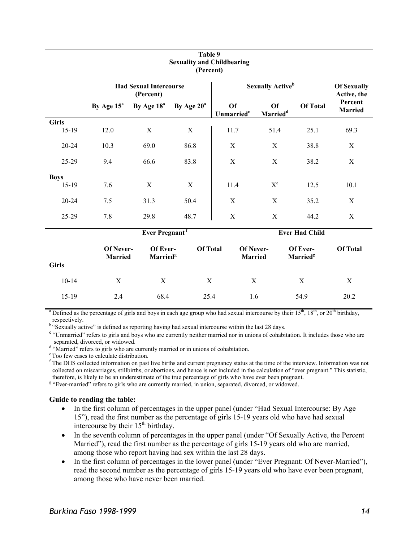| (Percent)             |                                            |                                  |                 |                                     |                                     |                                          |                                   |                    |
|-----------------------|--------------------------------------------|----------------------------------|-----------------|-------------------------------------|-------------------------------------|------------------------------------------|-----------------------------------|--------------------|
|                       | <b>Had Sexual Intercourse</b><br>(Percent) |                                  |                 | <b>Sexually Active</b> <sup>b</sup> |                                     |                                          | <b>Of Sexually</b><br>Active, the |                    |
|                       | By Age $15^a$                              | By Age 18 <sup>a</sup>           | By Age $20^a$   |                                     | <b>Of</b><br>Unmarried <sup>c</sup> | <b>Of</b><br><b>Married</b> <sup>d</sup> | <b>Of Total</b>                   | Percent<br>Married |
| <b>Girls</b><br>15-19 | 12.0                                       | $\mathbf X$                      | X               |                                     | 11.7                                | 51.4                                     | 25.1                              | 69.3               |
| 20-24                 | 10.3                                       | 69.0                             | 86.8            |                                     | X                                   | X                                        | 38.8                              | X                  |
| 25-29                 | 9.4                                        | 66.6                             | 83.8            |                                     | X                                   | X                                        | 38.2                              | $\mathbf X$        |
| <b>Boys</b><br>15-19  | 7.6                                        | $\mathbf X$                      | X               |                                     | 11.4                                | $X^e$                                    | 12.5                              | 10.1               |
| 20-24                 | 7.5                                        | 31.3                             | 50.4            |                                     | $\mathbf X$                         | $\mathbf X$                              | 35.2                              | X                  |
| 25-29                 | 7.8                                        | 29.8                             | 48.7            |                                     | $\mathbf X$                         | $\mathbf X$                              | 44.2                              | X                  |
|                       | Ever Pregnant <sup>f</sup>                 |                                  |                 |                                     |                                     |                                          | <b>Ever Had Child</b>             |                    |
|                       | Of Never-<br><b>Married</b>                | Of Ever-<br>Married <sup>g</sup> | <b>Of Total</b> |                                     | Of Never-<br><b>Married</b>         |                                          | Of Ever-<br>Married <sup>g</sup>  | <b>Of Total</b>    |
| <b>Girls</b>          |                                            |                                  |                 |                                     |                                     |                                          |                                   |                    |
| $10 - 14$             | X                                          | X                                | X               |                                     | X                                   |                                          | X                                 | X                  |
| $15-19$               | 2.4                                        | 68.4                             | 25.4            |                                     | 1.6                                 |                                          | 54.9                              | 20.2               |

#### **Table 9 Sexuality and Childbearing (Percent)**

<sup>a</sup> Defined as the percentage of girls and boys in each age group who had sexual intercourse by their  $15<sup>th</sup>$ ,  $18<sup>th</sup>$ , or  $20<sup>th</sup>$  birthday, respectively.

<sup>b</sup> "Sexually active" is defined as reporting having had sexual intercourse within the last 28 days.

<sup>c</sup> "Unmarried" refers to girls and boys who are currently neither married nor in unions of cohabitation. It includes those who are separated, divorced, or widowed.

<sup>d</sup> "Married" refers to girls who are currently married or in unions of cohabitation.<br><sup>e</sup> Too few cases to calculate distribution.

<sup>f</sup> The DHS collected information on past live births and current pregnancy status at the time of the interview. Information was not collected on miscarriages, stillbirths, or abortions, and hence is not included in the calculation of "ever pregnant." This statistic, therefore, is likely to be an underestimate of the true percentage of girls who have ever been pregnant.

<sup>g</sup> "Ever-married" refers to girls who are currently married, in union, separated, divorced, or widowed.

- In the first column of percentages in the upper panel (under "Had Sexual Intercourse: By Age 15"), read the first number as the percentage of girls 15-19 years old who have had sexual intercourse by their 15<sup>th</sup> birthday.
- In the seventh column of percentages in the upper panel (under "Of Sexually Active, the Percent Married"), read the first number as the percentage of girls 15-19 years old who are married, among those who report having had sex within the last 28 days.
- In the first column of percentages in the lower panel (under "Ever Pregnant: Of Never-Married"), read the second number as the percentage of girls 15-19 years old who have ever been pregnant, among those who have never been married.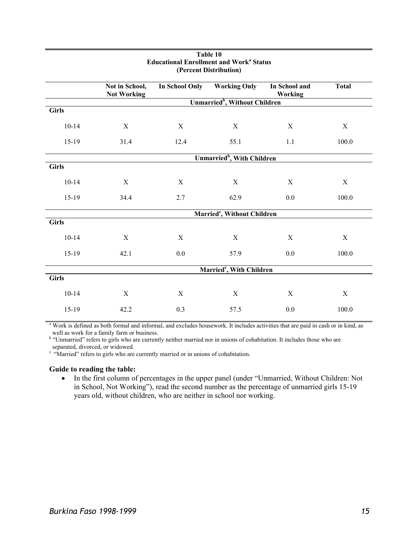| (Percent Distribution) |                                         |                       |                                           |                                 |                  |  |
|------------------------|-----------------------------------------|-----------------------|-------------------------------------------|---------------------------------|------------------|--|
|                        | Not in School,<br><b>Not Working</b>    | <b>In School Only</b> | <b>Working Only</b>                       | In School and<br><b>Working</b> | <b>Total</b>     |  |
|                        |                                         |                       | Unmarried <sup>b</sup> , Without Children |                                 |                  |  |
| <b>Girls</b>           |                                         |                       |                                           |                                 |                  |  |
| $10 - 14$              | X                                       | $\mathbf X$           | $\mathbf X$                               | $\mathbf X$                     | $\mathbf X$      |  |
| $15-19$                | 31.4                                    | 12.4                  | 55.1                                      | $1.1\,$                         | 100.0            |  |
|                        |                                         |                       | Unmarried <sup>b</sup> , With Children    |                                 |                  |  |
| <b>Girls</b>           |                                         |                       |                                           |                                 |                  |  |
| $10 - 14$              | X                                       | X                     | X                                         | $\mathbf X$                     | $\mathbf X$      |  |
| $15-19$                | 34.4                                    | 2.7                   | 62.9                                      | 0.0                             | 100.0            |  |
|                        | Married <sup>c</sup> , Without Children |                       |                                           |                                 |                  |  |
| <b>Girls</b>           |                                         |                       |                                           |                                 |                  |  |
| $10 - 14$              | $\mathbf X$                             | X                     | $\mathbf X$                               | $\mathbf X$                     | $\boldsymbol{X}$ |  |
| $15-19$                | 42.1                                    | $0.0\,$               | 57.9                                      | $0.0\,$                         | 100.0            |  |
|                        | Married <sup>c</sup> , With Children    |                       |                                           |                                 |                  |  |
| <b>Girls</b>           |                                         |                       |                                           |                                 |                  |  |
| $10 - 14$              | $\mathbf X$                             | X                     | $\mathbf X$                               | $\mathbf X$                     | $\mathbf X$      |  |
| 15-19                  | 42.2                                    | 0.3                   | 57.5                                      | 0.0                             | 100.0            |  |

# **Table 10 Educational Enrollment and Work<sup>a</sup> Status**

<sup>a</sup> Work is defined as both formal and informal, and excludes housework. It includes activities that are paid in cash or in kind, as well as work for a family farm or business.

<sup>b</sup> "Unmarried" refers to girls who are currently neither married nor in unions of cohabitation. It includes those who are separated, divorced, or widowed.

<sup>c</sup> "Married" refers to girls who are currently married or in unions of cohabitation.

#### **Guide to reading the table:**

• In the first column of percentages in the upper panel (under "Unmarried, Without Children: Not in School, Not Working"), read the second number as the percentage of unmarried girls 15-19 years old, without children, who are neither in school nor working.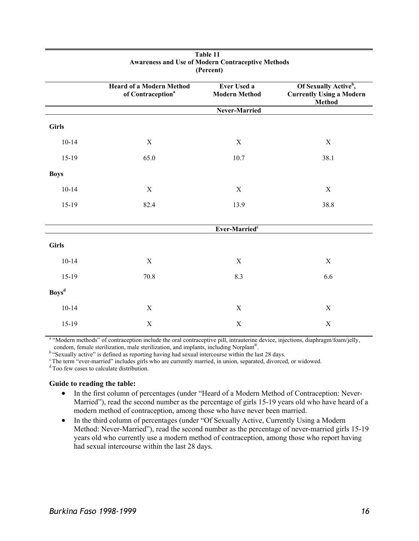|                          | <b>Heard of a Modern Method</b><br>of Contraception <sup>a</sup> | Ever Used a<br><b>Modern Method</b> | Of Sexually Active <sup>b</sup> ,<br><b>Currently Using a Modern</b><br><b>Method</b> |
|--------------------------|------------------------------------------------------------------|-------------------------------------|---------------------------------------------------------------------------------------|
|                          |                                                                  | Never-Married                       |                                                                                       |
| <b>Girls</b>             |                                                                  |                                     |                                                                                       |
| $10-14$                  | X                                                                | $\mathbf X$                         | $\mathbf X$                                                                           |
| 15-19                    | 65.0                                                             | 10.7                                | 38.1                                                                                  |
| <b>Boys</b>              |                                                                  |                                     |                                                                                       |
| $10 - 14$                | X                                                                | $\mathbf X$                         | $\mathbf X$                                                                           |
| 15-19                    | 82.4                                                             | 13.9                                | 38.8                                                                                  |
|                          |                                                                  | Ever-Married <sup>c</sup>           |                                                                                       |
| <b>Girls</b>             |                                                                  |                                     |                                                                                       |
| $10 - 14$                | $\mathbf X$                                                      | $\mathbf X$                         | $\mathbf X$                                                                           |
| 15-19                    | 70.8                                                             | 8.3                                 | 6.6                                                                                   |
| <b>Boys</b> <sup>d</sup> |                                                                  |                                     |                                                                                       |
| $10 - 14$                | $\mathbf X$                                                      | $\mathbf X$                         | $\mathbf X$                                                                           |
| 15-19                    | $\mathbf X$                                                      | X                                   | $\mathbf X$                                                                           |

#### **Table 11 Awareness and Use of Modern Contraceptive Methods (Percent)**

<sup>a</sup> "Modern methods" of contraception include the oral contraceptive pill, intrauterine device, injections, diaphragm/foam/jelly, condom, female sterilization, male sterilization, and implants, including Norplant®.<br>
<sup>b</sup> "Sexually active" is defined as reporting having had sexual intercourse within the last 28 days.<br>
<sup>c</sup> The term "ever-married" includ

- In the first column of percentages (under "Heard of a Modern Method of Contraception: Never-Married"), read the second number as the percentage of girls 15-19 years old who have heard of a modern method of contraception, among those who have never been married.
- In the third column of percentages (under "Of Sexually Active, Currently Using a Modern Method: Never-Married"), read the second number as the percentage of never-married girls 15-19 years old who currently use a modern method of contraception, among those who report having had sexual intercourse within the last 28 days.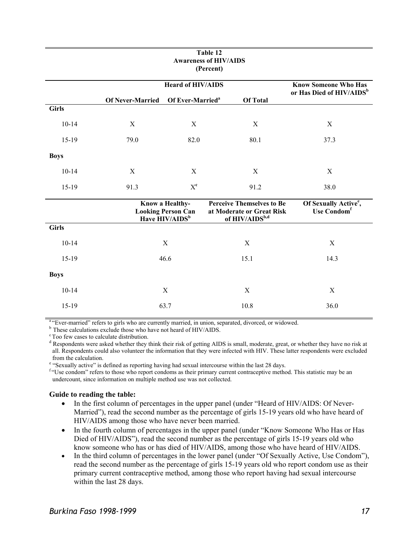| Table 12<br><b>Awareness of HIV/AIDS</b><br>(Percent) |                         |                                                                 |                                                                                             |                                                                     |  |  |
|-------------------------------------------------------|-------------------------|-----------------------------------------------------------------|---------------------------------------------------------------------------------------------|---------------------------------------------------------------------|--|--|
|                                                       |                         | <b>Heard of HIV/AIDS</b>                                        |                                                                                             | <b>Know Someone Who Has</b><br>or Has Died of HIV/AIDS <sup>b</sup> |  |  |
|                                                       | <b>Of Never-Married</b> | Of Ever-Married <sup>a</sup>                                    | <b>Of Total</b>                                                                             |                                                                     |  |  |
| <b>Girls</b>                                          |                         |                                                                 |                                                                                             |                                                                     |  |  |
| $10 - 14$                                             | X                       | X                                                               | X                                                                                           | X                                                                   |  |  |
| $15-19$                                               | 79.0                    | 82.0                                                            | 80.1                                                                                        | 37.3                                                                |  |  |
| <b>Boys</b>                                           |                         |                                                                 |                                                                                             |                                                                     |  |  |
| $10 - 14$                                             | $\mathbf X$             | $\mathbf X$                                                     | $\mathbf X$                                                                                 | X                                                                   |  |  |
| $15-19$                                               | 91.3                    | $\mathbf{X}^\mathbf{c}$                                         | 91.2                                                                                        | 38.0                                                                |  |  |
|                                                       |                         | Know a Healthy-<br><b>Looking Person Can<br/>Have HIV/AIDSb</b> | <b>Perceive Themselves to Be</b><br>at Moderate or Great Risk<br>of HIV/AIDS <sup>b,d</sup> | Of Sexually Active <sup>e</sup> ,<br>Use Condom <sup>f</sup>        |  |  |
| <b>Girls</b>                                          |                         |                                                                 |                                                                                             |                                                                     |  |  |
| $10 - 14$                                             |                         | X                                                               | X                                                                                           | X                                                                   |  |  |
| $15-19$                                               |                         | 46.6                                                            | 15.1                                                                                        | 14.3                                                                |  |  |
| <b>Boys</b>                                           |                         |                                                                 |                                                                                             |                                                                     |  |  |
| $10 - 14$                                             |                         | X                                                               | X                                                                                           | $\mathbf X$                                                         |  |  |
| 15-19                                                 |                         | 63.7                                                            | 10.8                                                                                        | 36.0                                                                |  |  |
|                                                       |                         |                                                                 |                                                                                             |                                                                     |  |  |

# **Table 12**

<sup>a "</sup>Ever-married" refers to girls who are currently married, in union, separated, divorced, or widowed.  $\frac{b}{c}$  These calculations exclude those who have not heard of HIV/AIDS.  $\frac{c}{c}$  Too few cases to calculate dist

<sup>d</sup> Respondents were asked whether they think their risk of getting AIDS is small, moderate, great, or whether they have no risk at all. Respondents could also volunteer the information that they were infected with HIV. These latter respondents were excluded from the calculation.

<sup>e</sup> "Sexually active" is defined as reporting having had sexual intercourse within the last 28 days.

<sup>f "</sup>Use condom" refers to those who report condoms as their primary current contraceptive method. This statistic may be an undercount, since information on multiple method use was not collected.

- In the first column of percentages in the upper panel (under "Heard of HIV/AIDS: Of Never-Married"), read the second number as the percentage of girls 15-19 years old who have heard of HIV/AIDS among those who have never been married.
- In the fourth column of percentages in the upper panel (under "Know Someone Who Has or Has Died of HIV/AIDS"), read the second number as the percentage of girls 15-19 years old who know someone who has or has died of HIV/AIDS, among those who have heard of HIV/AIDS.
- In the third column of percentages in the lower panel (under "Of Sexually Active, Use Condom"), read the second number as the percentage of girls 15-19 years old who report condom use as their primary current contraceptive method, among those who report having had sexual intercourse within the last 28 days.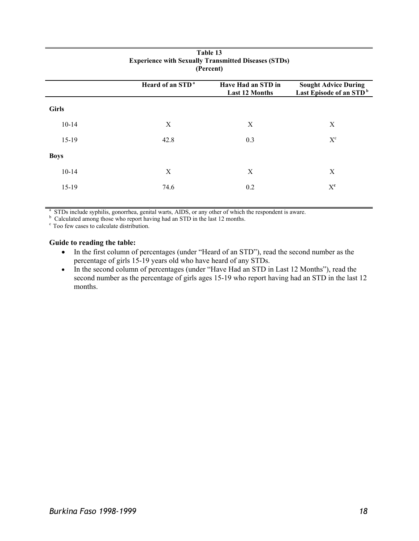| (Percent)    |                              |                                             |                                                                    |  |  |
|--------------|------------------------------|---------------------------------------------|--------------------------------------------------------------------|--|--|
|              | Heard of an STD <sup>a</sup> | Have Had an STD in<br><b>Last 12 Months</b> | <b>Sought Advice During</b><br>Last Episode of an STD <sup>b</sup> |  |  |
| <b>Girls</b> |                              |                                             |                                                                    |  |  |
| $10 - 14$    | X                            | X                                           | X                                                                  |  |  |
| $15-19$      | 42.8                         | 0.3                                         | $\mathbf{X}^\mathrm{c}$                                            |  |  |
| <b>Boys</b>  |                              |                                             |                                                                    |  |  |
| $10 - 14$    | X                            | X                                           | X                                                                  |  |  |
| $15-19$      | 74.6                         | 0.2                                         | $X^{\mathbf{c}}$                                                   |  |  |
|              |                              |                                             |                                                                    |  |  |

# **Table 13 Experience with Sexually Transmitted Diseases (STDs)**

 $^{\text{a}}$  STDs include syphilis, gonorrhea, genital warts, AIDS, or any other of which the respondent is aware.

 $\sigma^{\text{c}}$  Calculated among those who report having had an STD in the last 12 months.  $\sigma^{\text{c}}$  Too few cases to calculate distribution.

- In the first column of percentages (under "Heard of an STD"), read the second number as the percentage of girls 15-19 years old who have heard of any STDs.
- In the second column of percentages (under "Have Had an STD in Last 12 Months"), read the second number as the percentage of girls ages 15-19 who report having had an STD in the last 12 months.